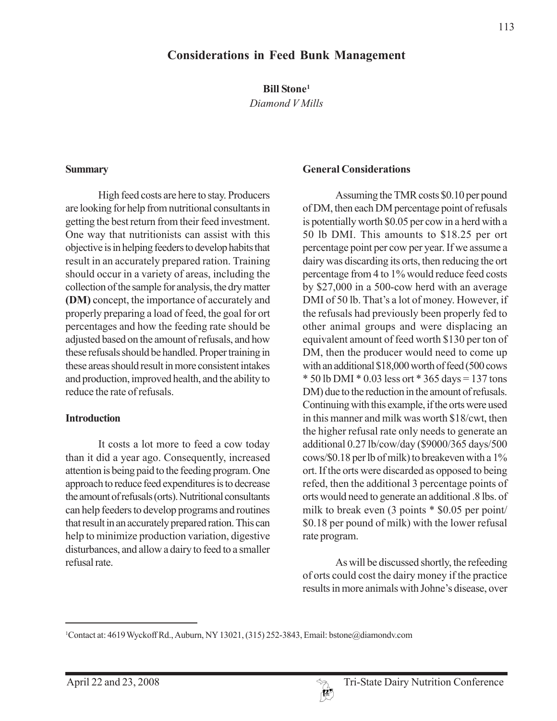### **Considerations in Feed Bunk Management**

**Bill Stone1**

*Diamond V Mills*

#### **Summary**

High feed costs are here to stay. Producers are looking for help from nutritional consultants in getting the best return from their feed investment. One way that nutritionists can assist with this objective is in helping feeders to develop habits that result in an accurately prepared ration. Training should occur in a variety of areas, including the collection of the sample for analysis, the dry matter **(DM)** concept, the importance of accurately and properly preparing a load of feed, the goal for ort percentages and how the feeding rate should be adjusted based on the amount of refusals, and how these refusals should be handled. Proper training in these areas should result in more consistent intakes and production, improved health, and the ability to reduce the rate of refusals.

#### **Introduction**

It costs a lot more to feed a cow today than it did a year ago. Consequently, increased attention is being paid to the feeding program. One approach to reduce feed expenditures is to decrease the amount of refusals (orts). Nutritional consultants can help feeders to develop programs and routines that result in an accurately prepared ration. This can help to minimize production variation, digestive disturbances, and allow a dairy to feed to a smaller refusal rate.

#### **General Considerations**

Assuming the TMR costs \$0.10 per pound of DM, then each DM percentage point of refusals is potentially worth \$0.05 per cow in a herd with a 50 lb DMI. This amounts to \$18.25 per ort percentage point per cow per year. If we assume a dairy was discarding its orts, then reducing the ort percentage from 4 to 1% would reduce feed costs by \$27,000 in a 500-cow herd with an average DMI of 50 lb. That's a lot of money. However, if the refusals had previously been properly fed to other animal groups and were displacing an equivalent amount of feed worth \$130 per ton of DM, then the producer would need to come up with an additional \$18,000 worth of feed (500 cows  $*$  50 lb DMI  $*$  0.03 less ort  $*$  365 days = 137 tons DM) due to the reduction in the amount of refusals. Continuing with this example, if the orts were used in this manner and milk was worth \$18/cwt, then the higher refusal rate only needs to generate an additional 0.27 lb/cow/day (\$9000/365 days/500 cows/\$0.18 per lb of milk) to breakeven with a 1% ort. If the orts were discarded as opposed to being refed, then the additional 3 percentage points of orts would need to generate an additional .8 lbs. of milk to break even (3 points \* \$0.05 per point/ \$0.18 per pound of milk) with the lower refusal rate program.

As will be discussed shortly, the refeeding of orts could cost the dairy money if the practice results in more animals with Johne's disease, over



<sup>1</sup> Contact at: 4619 Wyckoff Rd., Auburn, NY 13021, (315) 252-3843, Email: bstone@diamondv.com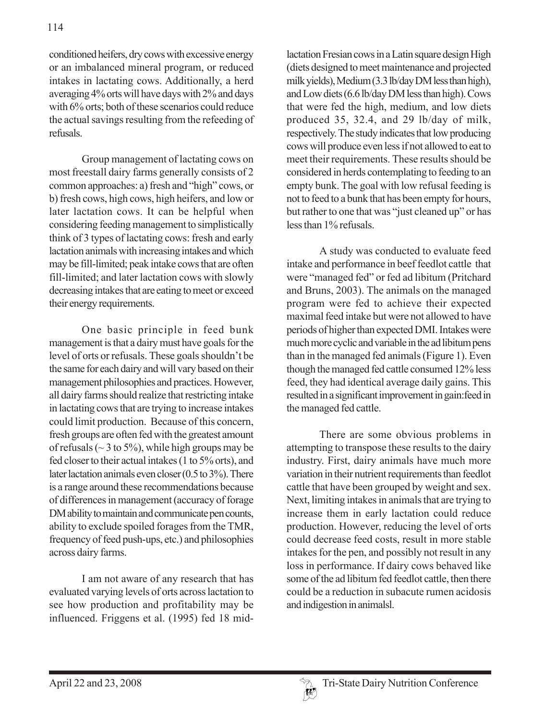conditioned heifers, dry cows with excessive energy or an imbalanced mineral program, or reduced intakes in lactating cows. Additionally, a herd averaging 4% orts will have days with 2% and days with 6% orts; both of these scenarios could reduce the actual savings resulting from the refeeding of refusals.

Group management of lactating cows on most freestall dairy farms generally consists of 2 common approaches: a) fresh and "high" cows, or b) fresh cows, high cows, high heifers, and low or later lactation cows. It can be helpful when considering feeding management to simplistically think of 3 types of lactating cows: fresh and early lactation animals with increasing intakes and which may be fill-limited; peak intake cows that are often fill-limited; and later lactation cows with slowly decreasing intakes that are eating to meet or exceed their energy requirements.

One basic principle in feed bunk management is that a dairy must have goals for the level of orts or refusals. These goals shouldn't be the same for each dairy and will vary based on their management philosophies and practices. However, all dairy farms should realize that restricting intake in lactating cows that are trying to increase intakes could limit production. Because of this concern, fresh groups are often fed with the greatest amount of refusals ( $\sim$  3 to 5%), while high groups may be fed closer to their actual intakes (1 to 5% orts), and later lactation animals even closer (0.5 to 3%). There is a range around these recommendations because of differences in management (accuracy of forage DM ability to maintain and communicate pen counts, ability to exclude spoiled forages from the TMR, frequency of feed push-ups, etc.) and philosophies across dairy farms.

I am not aware of any research that has evaluated varying levels of orts across lactation to see how production and profitability may be influenced. Friggens et al. (1995) fed 18 mid-

lactation Fresian cows in a Latin square design High (diets designed to meet maintenance and projected milk yields), Medium (3.3 lb/day DM less than high), and Low diets (6.6 lb/day DM less than high). Cows that were fed the high, medium, and low diets produced 35, 32.4, and 29 lb/day of milk, respectively. The study indicates that low producing cows will produce even less if not allowed to eat to meet their requirements. These results should be considered in herds contemplating to feeding to an empty bunk. The goal with low refusal feeding is not to feed to a bunk that has been empty for hours, but rather to one that was "just cleaned up" or has less than 1% refusals.

A study was conducted to evaluate feed intake and performance in beef feedlot cattle that were "managed fed" or fed ad libitum (Pritchard and Bruns, 2003). The animals on the managed program were fed to achieve their expected maximal feed intake but were not allowed to have periods of higher than expected DMI. Intakes were much more cyclic and variable in the ad libitum pens than in the managed fed animals (Figure 1). Even though the managed fed cattle consumed 12% less feed, they had identical average daily gains. This resulted in a significant improvement in gain:feed in the managed fed cattle.

There are some obvious problems in attempting to transpose these results to the dairy industry. First, dairy animals have much more variation in their nutrient requirements than feedlot cattle that have been grouped by weight and sex. Next, limiting intakes in animals that are trying to increase them in early lactation could reduce production. However, reducing the level of orts could decrease feed costs, result in more stable intakes for the pen, and possibly not result in any loss in performance. If dairy cows behaved like some of the ad libitum fed feedlot cattle, then there could be a reduction in subacute rumen acidosis and indigestion in animalsl.

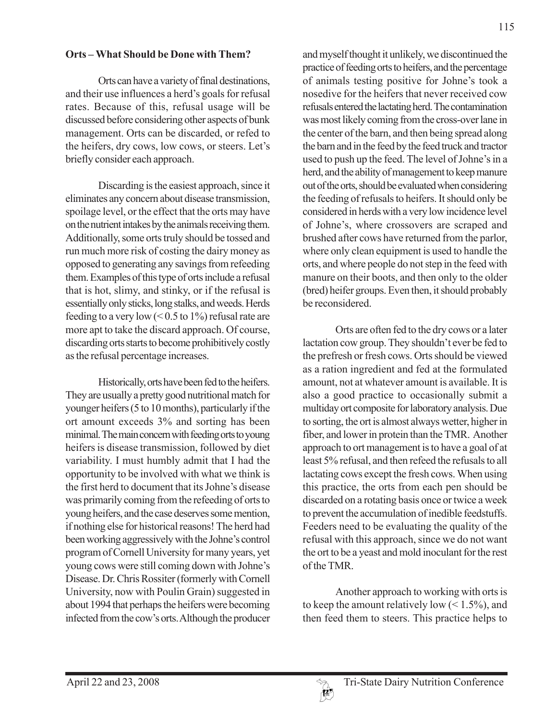#### **Orts – What Should be Done with Them?**

Orts can have a variety of final destinations, and their use influences a herd's goals for refusal rates. Because of this, refusal usage will be discussed before considering other aspects of bunk management. Orts can be discarded, or refed to the heifers, dry cows, low cows, or steers. Let's briefly consider each approach.

Discarding is the easiest approach, since it eliminates any concern about disease transmission, spoilage level, or the effect that the orts may have on the nutrient intakes by the animals receiving them. Additionally, some orts truly should be tossed and run much more risk of costing the dairy money as opposed to generating any savings from refeeding them. Examples of this type of orts include a refusal that is hot, slimy, and stinky, or if the refusal is essentially only sticks, long stalks, and weeds. Herds feeding to a very low  $(< 0.5$  to 1%) refusal rate are more apt to take the discard approach. Of course, discarding orts starts to become prohibitively costly as the refusal percentage increases.

Historically, orts have been fed to the heifers. They are usually a pretty good nutritional match for younger heifers (5 to 10 months), particularly if the ort amount exceeds 3% and sorting has been minimal. The main concern with feeding orts to young heifers is disease transmission, followed by diet variability. I must humbly admit that I had the opportunity to be involved with what we think is the first herd to document that its Johne's disease was primarily coming from the refeeding of orts to young heifers, and the case deserves some mention, if nothing else for historical reasons! The herd had been working aggressively with the Johne's control program of Cornell University for many years, yet young cows were still coming down with Johne's Disease. Dr. Chris Rossiter (formerly with Cornell University, now with Poulin Grain) suggested in about 1994 that perhaps the heifers were becoming infected from the cow's orts. Although the producer

and myself thought it unlikely, we discontinued the practice of feeding orts to heifers, and the percentage of animals testing positive for Johne's took a nosedive for the heifers that never received cow refusals entered the lactating herd. The contamination was most likely coming from the cross-over lane in the center of the barn, and then being spread along the barn and in the feed by the feed truck and tractor used to push up the feed. The level of Johne's in a herd, and the ability of management to keep manure out of the orts, should be evaluated when considering the feeding of refusals to heifers. It should only be considered in herds with a very low incidence level of Johne's, where crossovers are scraped and brushed after cows have returned from the parlor, where only clean equipment is used to handle the orts, and where people do not step in the feed with manure on their boots, and then only to the older (bred) heifer groups. Even then, it should probably be reconsidered.

Orts are often fed to the dry cows or a later lactation cow group. They shouldn't ever be fed to the prefresh or fresh cows. Orts should be viewed as a ration ingredient and fed at the formulated amount, not at whatever amount is available. It is also a good practice to occasionally submit a multiday ort composite for laboratory analysis. Due to sorting, the ort is almost always wetter, higher in fiber, and lower in protein than the TMR. Another approach to ort management is to have a goal of at least 5% refusal, and then refeed the refusals to all lactating cows except the fresh cows. When using this practice, the orts from each pen should be discarded on a rotating basis once or twice a week to prevent the accumulation of inedible feedstuffs. Feeders need to be evaluating the quality of the refusal with this approach, since we do not want the ort to be a yeast and mold inoculant for the rest of the TMR.

Another approach to working with orts is to keep the amount relatively low  $(< 1.5\%)$ , and then feed them to steers. This practice helps to

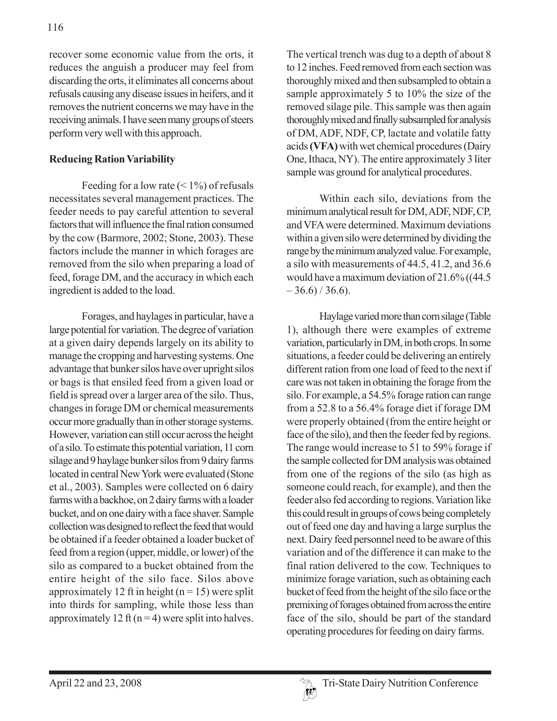recover some economic value from the orts, it reduces the anguish a producer may feel from discarding the orts, it eliminates all concerns about refusals causing any disease issues in heifers, and it removes the nutrient concerns we may have in the receiving animals. I have seen many groups of steers perform very well with this approach.

#### **Reducing Ration Variability**

Feeding for a low rate  $(< 1\%)$  of refusals necessitates several management practices. The feeder needs to pay careful attention to several factors that will influence the final ration consumed by the cow (Barmore, 2002; Stone, 2003). These factors include the manner in which forages are removed from the silo when preparing a load of feed, forage DM, and the accuracy in which each ingredient is added to the load.

Forages, and haylages in particular, have a large potential for variation. The degree of variation at a given dairy depends largely on its ability to manage the cropping and harvesting systems. One advantage that bunker silos have over upright silos or bags is that ensiled feed from a given load or field is spread over a larger area of the silo. Thus, changes in forage DM or chemical measurements occur more gradually than in other storage systems. However, variation can still occur across the height of a silo. To estimate this potential variation, 11 corn silage and 9 haylage bunker silos from 9 dairy farms located in central New York were evaluated (Stone et al., 2003). Samples were collected on 6 dairy farms with a backhoe, on 2 dairy farms with a loader bucket, and on one dairy with a face shaver. Sample collection was designed to reflect the feed that would be obtained if a feeder obtained a loader bucket of feed from a region (upper, middle, or lower) of the silo as compared to a bucket obtained from the entire height of the silo face. Silos above approximately 12 ft in height  $(n = 15)$  were split into thirds for sampling, while those less than approximately 12 ft  $(n=4)$  were split into halves.

The vertical trench was dug to a depth of about 8 to 12 inches. Feed removed from each section was thoroughly mixed and then subsampled to obtain a sample approximately 5 to 10% the size of the removed silage pile. This sample was then again thoroughly mixed and finally subsampled for analysis of DM, ADF, NDF, CP, lactate and volatile fatty acids **(VFA)** with wet chemical procedures (Dairy One, Ithaca, NY). The entire approximately 3 liter sample was ground for analytical procedures.

Within each silo, deviations from the minimum analytical result for DM, ADF, NDF, CP, and VFA were determined. Maximum deviations within a given silo were determined by dividing the range by the minimum analyzed value. For example, a silo with measurements of 44.5, 41.2, and 36.6 would have a maximum deviation of 21.6% ((44.5  $-36.6$ ) / 36.6).

Haylage varied more than corn silage (Table 1), although there were examples of extreme variation, particularly in DM, in both crops. In some situations, a feeder could be delivering an entirely different ration from one load of feed to the next if care was not taken in obtaining the forage from the silo. For example, a 54.5% forage ration can range from a 52.8 to a 56.4% forage diet if forage DM were properly obtained (from the entire height or face of the silo), and then the feeder fed by regions. The range would increase to 51 to 59% forage if the sample collected for DM analysis was obtained from one of the regions of the silo (as high as someone could reach, for example), and then the feeder also fed according to regions. Variation like this could result in groups of cows being completely out of feed one day and having a large surplus the next. Dairy feed personnel need to be aware of this variation and of the difference it can make to the final ration delivered to the cow. Techniques to minimize forage variation, such as obtaining each bucket of feed from the height of the silo face or the premixing of forages obtained from across the entire face of the silo, should be part of the standard operating procedures for feeding on dairy farms.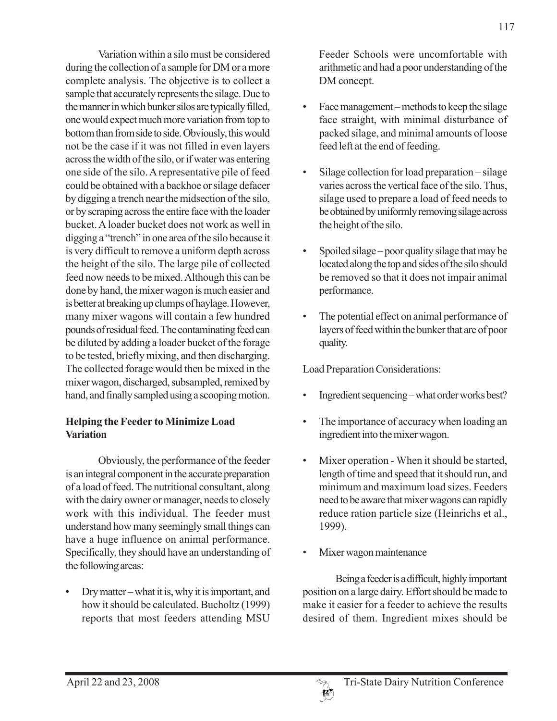Variation within a silo must be considered during the collection of a sample for DM or a more complete analysis. The objective is to collect a sample that accurately represents the silage. Due to the manner in which bunker silos are typically filled, one would expect much more variation from top to bottom than from side to side. Obviously, this would not be the case if it was not filled in even layers across the width of the silo, or if water was entering one side of the silo. A representative pile of feed could be obtained with a backhoe or silage defacer by digging a trench near the midsection of the silo, or by scraping across the entire face with the loader bucket. A loader bucket does not work as well in digging a "trench" in one area of the silo because it is very difficult to remove a uniform depth across the height of the silo. The large pile of collected feed now needs to be mixed. Although this can be done by hand, the mixer wagon is much easier and is better at breaking up clumps of haylage. However, many mixer wagons will contain a few hundred pounds of residual feed. The contaminating feed can be diluted by adding a loader bucket of the forage to be tested, briefly mixing, and then discharging. The collected forage would then be mixed in the mixer wagon, discharged, subsampled, remixed by hand, and finally sampled using a scooping motion.

## **Helping the Feeder to Minimize Load Variation**

Obviously, the performance of the feeder is an integral component in the accurate preparation of a load of feed. The nutritional consultant, along with the dairy owner or manager, needs to closely work with this individual. The feeder must understand how many seemingly small things can have a huge influence on animal performance. Specifically, they should have an understanding of the following areas:

• Dry matter – what it is, why it is important, and how it should be calculated. Bucholtz (1999) reports that most feeders attending MSU

Feeder Schools were uncomfortable with arithmetic and had a poor understanding of the DM concept.

- Face management methods to keep the silage face straight, with minimal disturbance of packed silage, and minimal amounts of loose feed left at the end of feeding.
- Silage collection for load preparation silage varies across the vertical face of the silo. Thus, silage used to prepare a load of feed needs to be obtained by uniformly removing silage across the height of the silo.
- Spoiled silage poor quality silage that may be located along the top and sides of the silo should be removed so that it does not impair animal performance.
- The potential effect on animal performance of layers of feed within the bunker that are of poor quality.

Load Preparation Considerations:

- Ingredient sequencing what order works best?
- The importance of accuracy when loading an ingredient into the mixer wagon.
- Mixer operation When it should be started, length of time and speed that it should run, and minimum and maximum load sizes. Feeders need to be aware that mixer wagons can rapidly reduce ration particle size (Heinrichs et al., 1999).
- Mixer wagon maintenance

Being a feeder is a difficult, highly important position on a large dairy. Effort should be made to make it easier for a feeder to achieve the results desired of them. Ingredient mixes should be

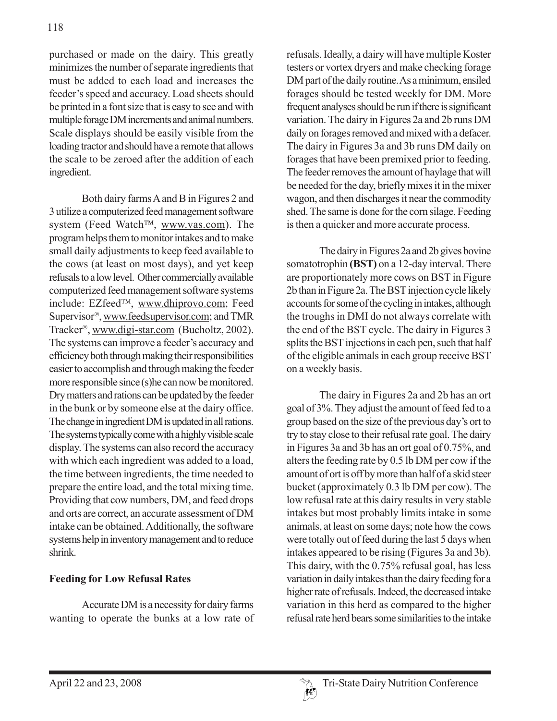purchased or made on the dairy. This greatly minimizes the number of separate ingredients that must be added to each load and increases the feeder's speed and accuracy. Load sheets should be printed in a font size that is easy to see and with multiple forage DM increments and animal numbers. Scale displays should be easily visible from the loading tractor and should have a remote that allows the scale to be zeroed after the addition of each ingredient.

Both dairy farms A and B in Figures 2 and 3 utilize a computerized feed management software system (Feed Watch™, www.vas.com). The program helps them to monitor intakes and to make small daily adjustments to keep feed available to the cows (at least on most days), and yet keep refusals to a low level. Other commercially available computerized feed management software systems include: EZfeed™, www.dhiprovo.com; Feed Supervisor®, www.feedsupervisor.com; and TMR Tracker®, www.digi-star.com (Bucholtz, 2002). The systems can improve a feeder's accuracy and efficiency both through making their responsibilities easier to accomplish and through making the feeder more responsible since (s)he can now be monitored. Dry matters and rations can be updated by the feeder in the bunk or by someone else at the dairy office. The change in ingredient DM is updated in all rations. The systems typically come with a highly visible scale display. The systems can also record the accuracy with which each ingredient was added to a load, the time between ingredients, the time needed to prepare the entire load, and the total mixing time. Providing that cow numbers, DM, and feed drops and orts are correct, an accurate assessment of DM intake can be obtained. Additionally, the software systems help in inventory management and to reduce shrink.

### **Feeding for Low Refusal Rates**

Accurate DM is a necessity for dairy farms wanting to operate the bunks at a low rate of refusals. Ideally, a dairy will have multiple Koster testers or vortex dryers and make checking forage DM part of the daily routine. As a minimum, ensiled forages should be tested weekly for DM. More frequent analyses should be run if there is significant variation. The dairy in Figures 2a and 2b runs DM daily on forages removed and mixed with a defacer. The dairy in Figures 3a and 3b runs DM daily on forages that have been premixed prior to feeding. The feeder removes the amount of haylage that will be needed for the day, briefly mixes it in the mixer wagon, and then discharges it near the commodity shed. The same is done for the corn silage. Feeding is then a quicker and more accurate process.

The dairy in Figures 2a and 2b gives bovine somatotrophin **(BST)** on a 12-day interval. There are proportionately more cows on BST in Figure 2b than in Figure 2a. The BST injection cycle likely accounts for some of the cycling in intakes, although the troughs in DMI do not always correlate with the end of the BST cycle. The dairy in Figures 3 splits the BST injections in each pen, such that half of the eligible animals in each group receive BST on a weekly basis.

The dairy in Figures 2a and 2b has an ort goal of 3%. They adjust the amount of feed fed to a group based on the size of the previous day's ort to try to stay close to their refusal rate goal. The dairy in Figures 3a and 3b has an ort goal of 0.75%, and alters the feeding rate by 0.5 lb DM per cow if the amount of ort is off by more than half of a skid steer bucket (approximately 0.3 lb DM per cow). The low refusal rate at this dairy results in very stable intakes but most probably limits intake in some animals, at least on some days; note how the cows were totally out of feed during the last 5 days when intakes appeared to be rising (Figures 3a and 3b). This dairy, with the 0.75% refusal goal, has less variation in daily intakes than the dairy feeding for a higher rate of refusals. Indeed, the decreased intake variation in this herd as compared to the higher refusal rate herd bears some similarities to the intake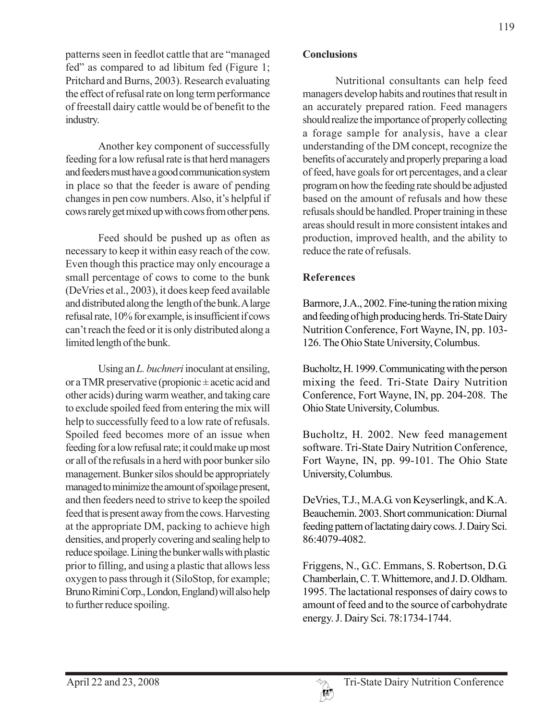patterns seen in feedlot cattle that are "managed fed" as compared to ad libitum fed (Figure 1; Pritchard and Burns, 2003). Research evaluating the effect of refusal rate on long term performance of freestall dairy cattle would be of benefit to the industry.

Another key component of successfully feeding for a low refusal rate is that herd managers and feeders must have a good communication system in place so that the feeder is aware of pending changes in pen cow numbers. Also, it's helpful if cows rarely get mixed up with cows from other pens.

Feed should be pushed up as often as necessary to keep it within easy reach of the cow. Even though this practice may only encourage a small percentage of cows to come to the bunk (DeVries et al., 2003), it does keep feed available and distributed along the length of the bunk. A large refusal rate, 10% for example, is insufficient if cows can't reach the feed or it is only distributed along a limited length of the bunk.

Using an *L. buchneri* inoculant at ensiling, or a TMR preservative (propionic  $\pm$  acetic acid and other acids) during warm weather, and taking care to exclude spoiled feed from entering the mix will help to successfully feed to a low rate of refusals. Spoiled feed becomes more of an issue when feeding for a low refusal rate; it could make up most or all of the refusals in a herd with poor bunker silo management. Bunker silos should be appropriately managed to minimize the amount of spoilage present, and then feeders need to strive to keep the spoiled feed that is present away from the cows. Harvesting at the appropriate DM, packing to achieve high densities, and properly covering and sealing help to reduce spoilage. Lining the bunker walls with plastic prior to filling, and using a plastic that allows less oxygen to pass through it (SiloStop, for example; Bruno Rimini Corp., London, England) will also help to further reduce spoiling.

#### **Conclusions**

Nutritional consultants can help feed managers develop habits and routines that result in an accurately prepared ration. Feed managers should realize the importance of properly collecting a forage sample for analysis, have a clear understanding of the DM concept, recognize the benefits of accurately and properly preparing a load of feed, have goals for ort percentages, and a clear program on how the feeding rate should be adjusted based on the amount of refusals and how these refusals should be handled. Proper training in these areas should result in more consistent intakes and production, improved health, and the ability to reduce the rate of refusals.

# **References**

Barmore, J.A., 2002. Fine-tuning the ration mixing and feeding of high producing herds. Tri-State Dairy Nutrition Conference, Fort Wayne, IN, pp. 103- 126. The Ohio State University, Columbus.

Bucholtz, H. 1999. Communicating with the person mixing the feed. Tri-State Dairy Nutrition Conference, Fort Wayne, IN, pp. 204-208. The Ohio State University, Columbus.

Bucholtz, H. 2002. New feed management software. Tri-State Dairy Nutrition Conference, Fort Wayne, IN, pp. 99-101. The Ohio State University, Columbus.

DeVries, T.J., M.A.G. von Keyserlingk, and K.A. Beauchemin. 2003. Short communication: Diurnal feeding pattern of lactating dairy cows. J. Dairy Sci. 86:4079-4082.

Friggens, N., G.C. Emmans, S. Robertson, D.G. Chamberlain, C. T. Whittemore, and J. D. Oldham. 1995. The lactational responses of dairy cows to amount of feed and to the source of carbohydrate energy. J. Dairy Sci. 78:1734-1744.

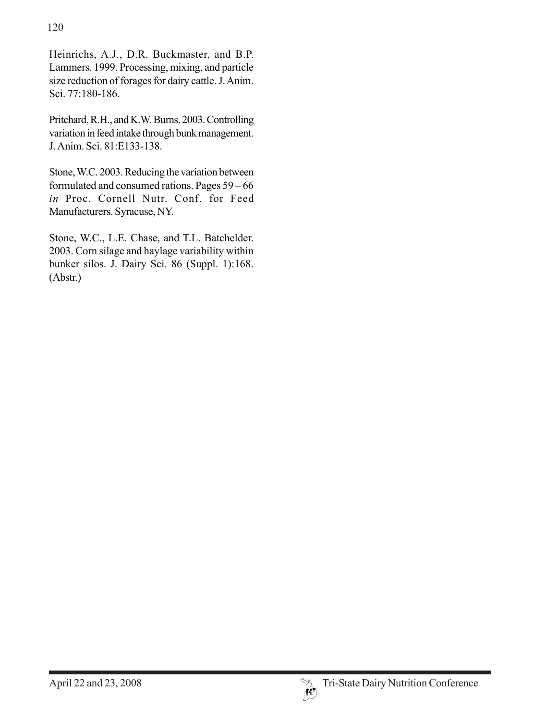Heinrichs, A.J., D.R. Buckmaster, and B.P. Lammers. 1999. Processing, mixing, and particle size reduction of forages for dairy cattle. J. Anim. Sci. 77:180-186.

Pritchard, R.H., and K.W. Burns. 2003. Controlling variation in feed intake through bunk management. J. Anim. Sci. 81:E133-138.

Stone, W.C. 2003. Reducing the variation between formulated and consumed rations. Pages 59 – 66 *in* Proc. Cornell Nutr. Conf. for Feed Manufacturers. Syracuse, NY.

Stone, W.C., L.E. Chase, and T.L. Batchelder. 2003. Corn silage and haylage variability within bunker silos. J. Dairy Sci. 86 (Suppl. 1):168. (Abstr.)

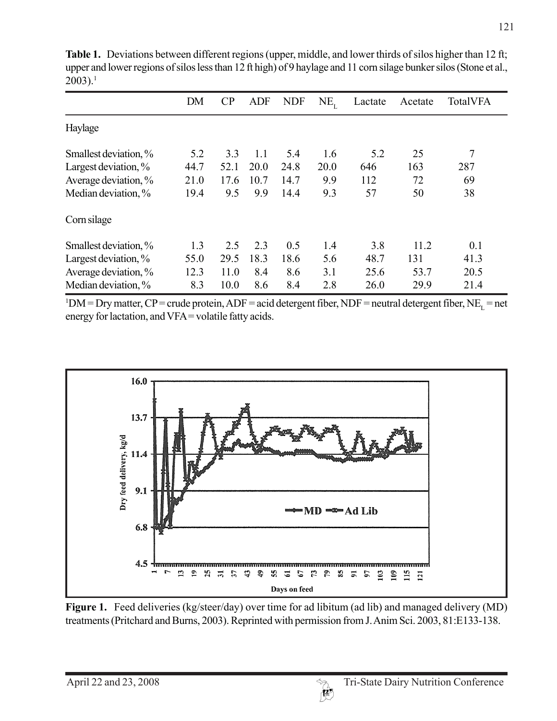|                         | DM   | CP   | <b>ADF</b> | <b>NDF</b> | $NE_{r}$ | Lactate | Acetate | <b>TotalVFA</b> |
|-------------------------|------|------|------------|------------|----------|---------|---------|-----------------|
| Haylage                 |      |      |            |            |          |         |         |                 |
| Smallest deviation, %   | 5.2  | 3.3  | 1.1        | 5.4        | 1.6      | 5.2     | 25      | 7               |
| Largest deviation, $\%$ | 44.7 | 52.1 | 20.0       | 24.8       | 20.0     | 646     | 163     | 287             |
| Average deviation, %    | 21.0 | 17.6 | 10.7       | 14.7       | 9.9      | 112     | 72      | 69              |
| Median deviation, %     | 19.4 | 9.5  | 9.9        | 14.4       | 9.3      | 57      | 50      | 38              |
| Corn silage             |      |      |            |            |          |         |         |                 |
| Smallest deviation, %   | 1.3  | 2.5  | 2.3        | 0.5        | 1.4      | 3.8     | 11.2    | 0.1             |
| Largest deviation, $\%$ | 55.0 | 29.5 | 18.3       | 18.6       | 5.6      | 48.7    | 131     | 41.3            |
| Average deviation, %    | 12.3 | 11.0 | 8.4        | 8.6        | 3.1      | 25.6    | 53.7    | 20.5            |
| Median deviation, %     | 8.3  | 10.0 | 8.6        | 8.4        | 2.8      | 26.0    | 29.9    | 21.4            |

**Table 1.** Deviations between different regions (upper, middle, and lower thirds of silos higher than 12 ft; upper and lower regions of silos less than 12 ft high) of 9 haylage and 11 corn silage bunker silos (Stone et al.,  $2003$ ).<sup>1</sup>

 $1 DM = Dry matter$ ,  $CP = crude protein$ ,  $ADF = acid$  detergent fiber,  $NDF = neutral$  detergent fiber,  $NE<sub>L</sub> = net$ energy for lactation, and VFA = volatile fatty acids.



**Figure 1.** Feed deliveries (kg/steer/day) over time for ad libitum (ad lib) and managed delivery (MD) treatments (Pritchard and Burns, 2003). Reprinted with permission from J. Anim Sci. 2003, 81:E133-138.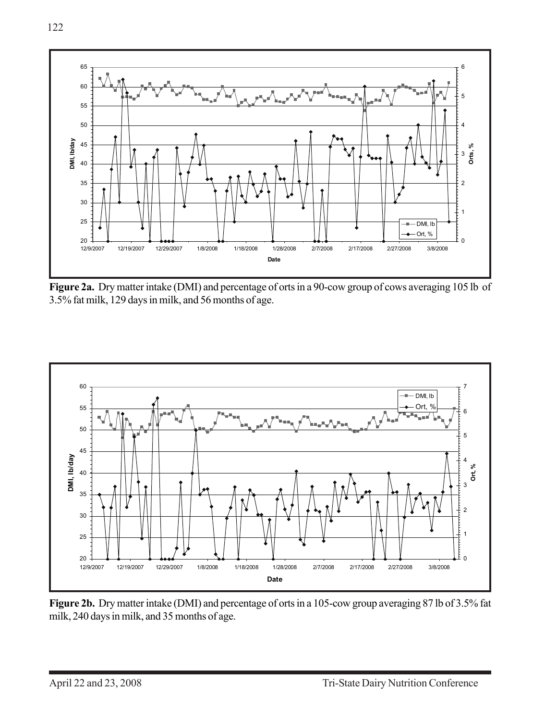

**Figure 2a.** Dry matter intake (DMI) and percentage of orts in a 90-cow group of cows averaging 105 lb of 3.5% fat milk, 129 days in milk, and 56 months of age.



**Figure 2b.** Dry matter intake (DMI) and percentage of orts in a 105-cow group averaging 87 lb of 3.5% fat milk, 240 days in milk, and 35 months of age.